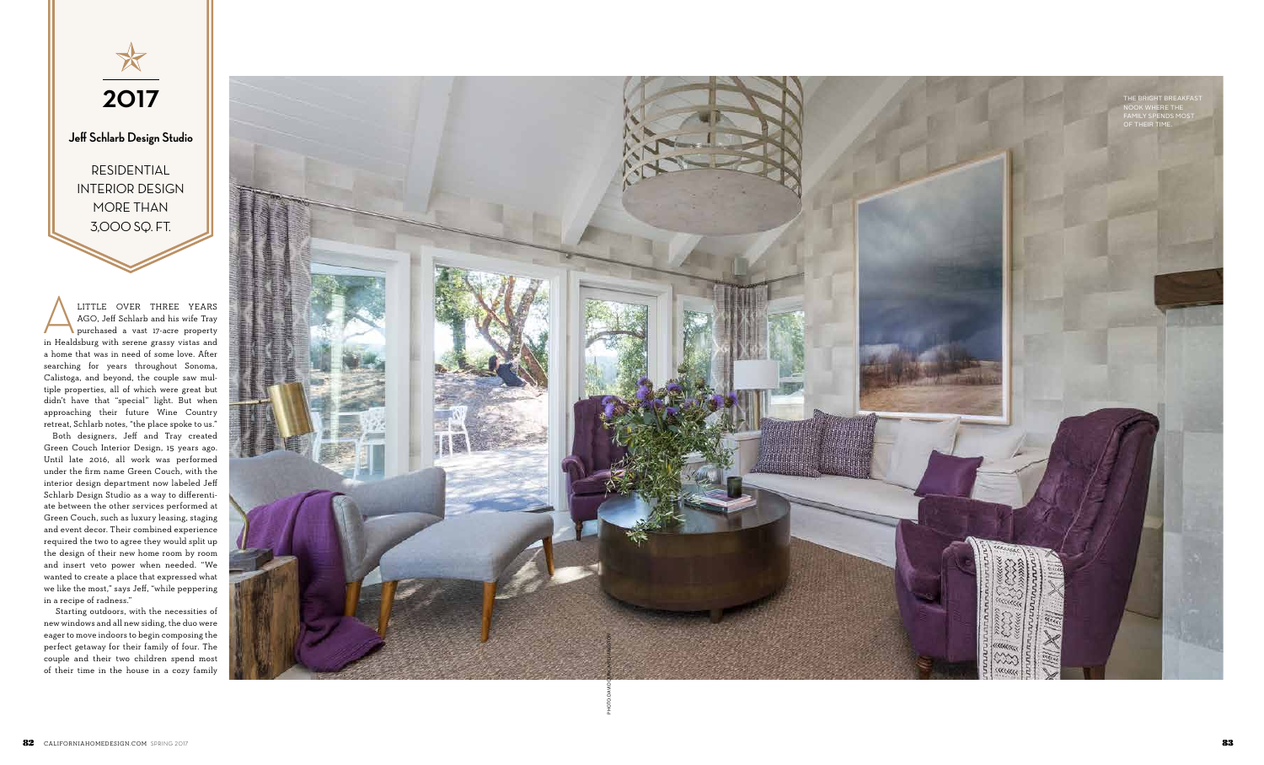

**Jeff Schlarb Design Studio**

RESIDENTIAL INTERIOR DESIGN MORE THAN 3,000 SQ. FT.

LITTLE OVER THREE YEARS<br>AGO, Jeff Schlarb and his wife Tray<br>purchased a vast 17-acre property<br>in Healdsburg with serene grassy vistas and LITTLE OVER THREE YEARS AGO, Jeff Schlarb and his wife Tray purchased a vast 17-acre property a home that was in need of some love. After searching for years throughout Sonoma, Calistoga, and beyond, the couple saw mul tiple properties, all of which were great but didn't have that "special" light. But when approaching their future Wine Country retreat, Schlarb notes, "the place spoke to us."



 Both designers, Jeff and Tray created Green Couch Interior Design, 15 years ago. Until late 2016, all work was performed under the firm name Green Couch, with the interior design department now labeled Jeff Schlarb Design Studio as a way to differenti ate between the other services performed at Green Couch, such as luxury leasing, staging and event decor. Their combined experience required the two to agree they would split up the design of their new home room by room and insert veto power when needed. "We wanted to create a place that expressed what we like the most," says Jeff, "while peppering in a recipe of radness."

 Starting outdoors, with the necessities of new windows and all new siding, the duo were eager to move indoors to begin composing the perfect getaway for their family of four. The couple and their two children spend most of their time in the house in a cozy family